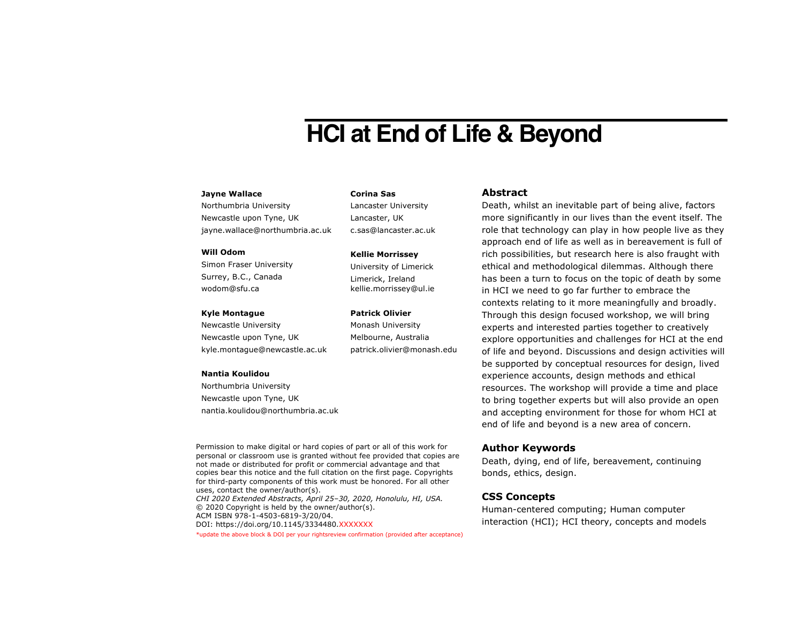# **HCI at End of Life & Beyond**

## **Jayne Wallace**

Northumbria University Newcastle upon Tyne, UK jayne.wallace@northumbria.ac.uk

#### **Will Odom**

Simon Fraser University Surrey, B.C., Canada wodom@sfu.ca

#### **Kyle Montague**

Newcastle University Newcastle upon Tyne, UK kyle.montague@newcastle.ac.uk

#### **Nantia Koulidou**

Northumbria University Newcastle upon Tyne, UK nantia.koulidou@northumbria.ac.uk

Permission to make digital or hard copies of part or all of this work for personal or classroom use is granted without fee provided that copies are not made or distributed for profit or commercial advantage and that copies bear this notice and the full citation on the first page. Copyrights for third-party components of this work must be honored. For all other uses, contact the owner/author(s). *CHI 2020 Extended Abstracts, April 25–30, 2020, Honolulu, HI, USA.* © 2020 Copyright is held by the owner/author(s). ACM ISBN 978-1-4503-6819-3/20/04. DOI: https://doi.org/10.1145/3334480.XXXXXXX

#### \*update the above block & DOI per your rightsreview confirmation (provided after acceptance)

**Corina Sas** Lancaster University

Lancaster, UK c.sas@lancaster.ac.uk

#### **Kellie Morrissey**

University of Limerick Limerick, Ireland kellie.morrissey@ul.ie

#### **Patrick Olivier**

Monash University Melbourne, Australia patrick.olivier@monash.edu

## **Abstract**

Death, whilst an inevitable part of being alive, factors more significantly in our lives than the event itself. The role that technology can play in how people live as they approach end of life as well as in bereavement is full of rich possibilities, but research here is also fraught with ethical and methodological dilemmas. Although there has been a turn to focus on the topic of death by some in HCI we need to go far further to embrace the contexts relating to it more meaningfully and broadly. Through this design focused workshop, we will bring experts and interested parties together to creatively explore opportunities and challenges for HCI at the end of life and beyond. Discussions and design activities will be supported by conceptual resources for design, lived experience accounts, design methods and ethical resources. The workshop will provide a time and place to bring together experts but will also provide an open and accepting environment for those for whom HCI at end of life and beyond is a new area of concern.

## **Author Keywords**

Death, dying, end of life, bereavement, continuing bonds, ethics, design.

## **CSS Concepts**

Human-centered computing; Human computer interaction (HCI); HCI theory, concepts and models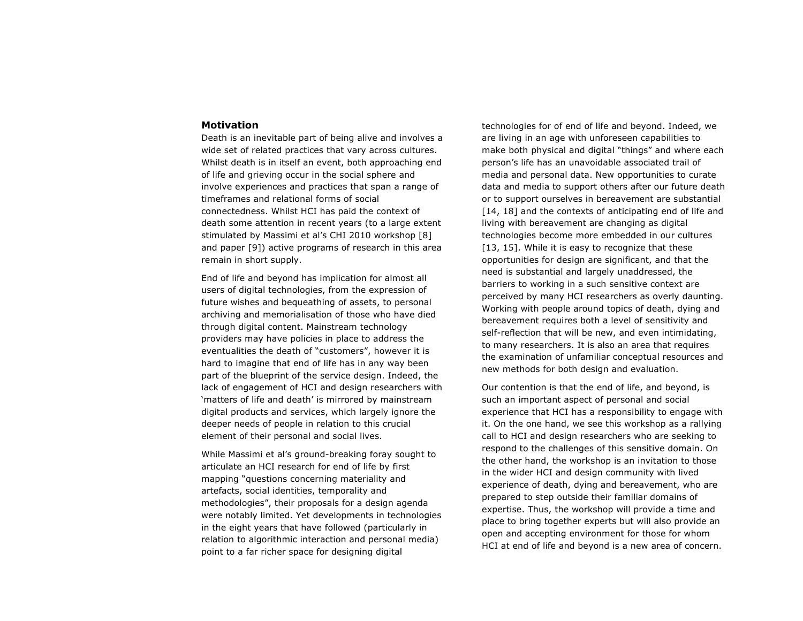## **Motivation**

Death is an inevitable part of being alive and involves a wide set of related practices that vary across cultures. Whilst death is in itself an event, both approaching end of life and grieving occur in the social sphere and involve experiences and practices that span a range of timeframes and relational forms of social connectedness. Whilst HCI has paid the context of death some attention in recent years (to a large extent stimulated by Massimi et al's CHI 2010 workshop [8] and paper [9]) active programs of research in this area remain in short supply.

End of life and beyond has implication for almost all users of digital technologies, from the expression of future wishes and bequeathing of assets, to personal archiving and memorialisation of those who have died through digital content. Mainstream technology providers may have policies in place to address the eventualities the death of "customers", however it is hard to imagine that end of life has in any way been part of the blueprint of the service design. Indeed, the lack of engagement of HCI and design researchers with 'matters of life and death' is mirrored by mainstream digital products and services, which largely ignore the deeper needs of people in relation to this crucial element of their personal and social lives.

While Massimi et al's ground-breaking foray sought to articulate an HCI research for end of life by first mapping "questions concerning materiality and artefacts, social identities, temporality and methodologies", their proposals for a design agenda were notably limited. Yet developments in technologies in the eight years that have followed (particularly in relation to algorithmic interaction and personal media) point to a far richer space for designing digital

technologies for of end of life and beyond. Indeed, we are living in an age with unforeseen capabilities to make both physical and digital "things" and where each person's life has an unavoidable associated trail of media and personal data. New opportunities to curate data and media to support others after our future death or to support ourselves in bereavement are substantial [14, 18] and the contexts of anticipating end of life and living with bereavement are changing as digital technologies become more embedded in our cultures [13, 15]. While it is easy to recognize that these opportunities for design are significant, and that the need is substantial and largely unaddressed, the barriers to working in a such sensitive context are perceived by many HCI researchers as overly daunting. Working with people around topics of death, dying and bereavement requires both a level of sensitivity and self-reflection that will be new, and even intimidating, to many researchers. It is also an area that requires the examination of unfamiliar conceptual resources and new methods for both design and evaluation.

Our contention is that the end of life, and beyond, is such an important aspect of personal and social experience that HCI has a responsibility to engage with it. On the one hand, we see this workshop as a rallying call to HCI and design researchers who are seeking to respond to the challenges of this sensitive domain. On the other hand, the workshop is an invitation to those in the wider HCI and design community with lived experience of death, dying and bereavement, who are prepared to step outside their familiar domains of expertise. Thus, the workshop will provide a time and place to bring together experts but will also provide an open and accepting environment for those for whom HCI at end of life and beyond is a new area of concern.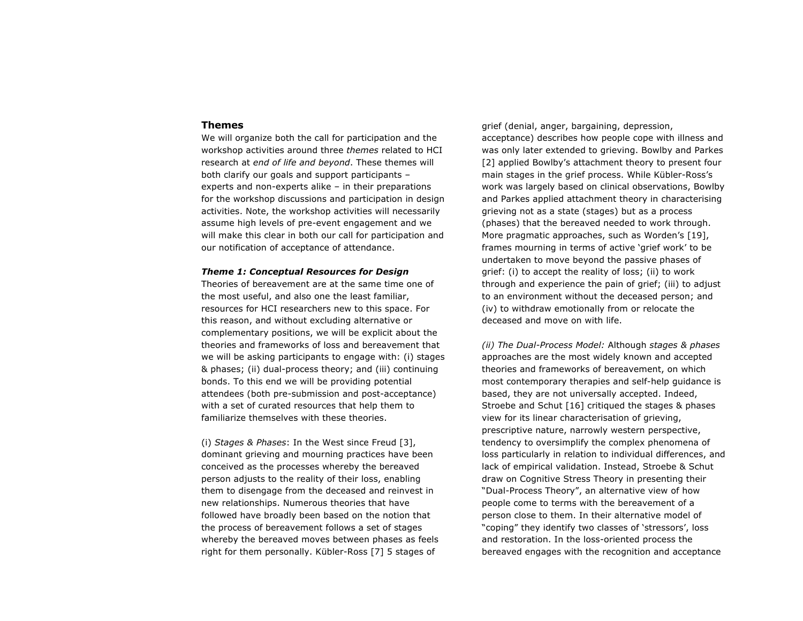## **Themes**

We will organize both the call for participation and the workshop activities around three *themes* related to HCI research at *end of life and beyond*. These themes will both clarify our goals and support participants – experts and non-experts alike – in their preparations for the workshop discussions and participation in design activities. Note, the workshop activities will necessarily assume high levels of pre-event engagement and we will make this clear in both our call for participation and our notification of acceptance of attendance.

## *Theme 1: Conceptual Resources for Design*

Theories of bereavement are at the same time one of the most useful, and also one the least familiar, resources for HCI researchers new to this space. For this reason, and without excluding alternative or complementary positions, we will be explicit about the theories and frameworks of loss and bereavement that we will be asking participants to engage with: (i) stages & phases; (ii) dual-process theory; and (iii) continuing bonds. To this end we will be providing potential attendees (both pre-submission and post-acceptance) with a set of curated resources that help them to familiarize themselves with these theories.

(i) *Stages & Phases*: In the West since Freud [3], dominant grieving and mourning practices have been conceived as the processes whereby the bereaved person adjusts to the reality of their loss, enabling them to disengage from the deceased and reinvest in new relationships. Numerous theories that have followed have broadly been based on the notion that the process of bereavement follows a set of stages whereby the bereaved moves between phases as feels right for them personally. Kübler-Ross [7] 5 stages of

grief (denial, anger, bargaining, depression, acceptance) describes how people cope with illness and was only later extended to grieving. Bowlby and Parkes [2] applied Bowlby's attachment theory to present four main stages in the grief process. While Kübler-Ross's work was largely based on clinical observations, Bowlby and Parkes applied attachment theory in characterising grieving not as a state (stages) but as a process (phases) that the bereaved needed to work through. More pragmatic approaches, such as Worden's [19], frames mourning in terms of active 'grief work' to be undertaken to move beyond the passive phases of grief: (i) to accept the reality of loss; (ii) to work through and experience the pain of grief; (iii) to adjust to an environment without the deceased person; and (iv) to withdraw emotionally from or relocate the deceased and move on with life.

*(ii) The Dual-Process Model:* Although *stages & phases* approaches are the most widely known and accepted theories and frameworks of bereavement, on which most contemporary therapies and self-help guidance is based, they are not universally accepted. Indeed, Stroebe and Schut [16] critiqued the stages & phases view for its linear characterisation of grieving, prescriptive nature, narrowly western perspective, tendency to oversimplify the complex phenomena of loss particularly in relation to individual differences, and lack of empirical validation. Instead, Stroebe & Schut draw on Cognitive Stress Theory in presenting their "Dual-Process Theory", an alternative view of how people come to terms with the bereavement of a person close to them. In their alternative model of "coping" they identify two classes of 'stressors', loss and restoration. In the loss-oriented process the bereaved engages with the recognition and acceptance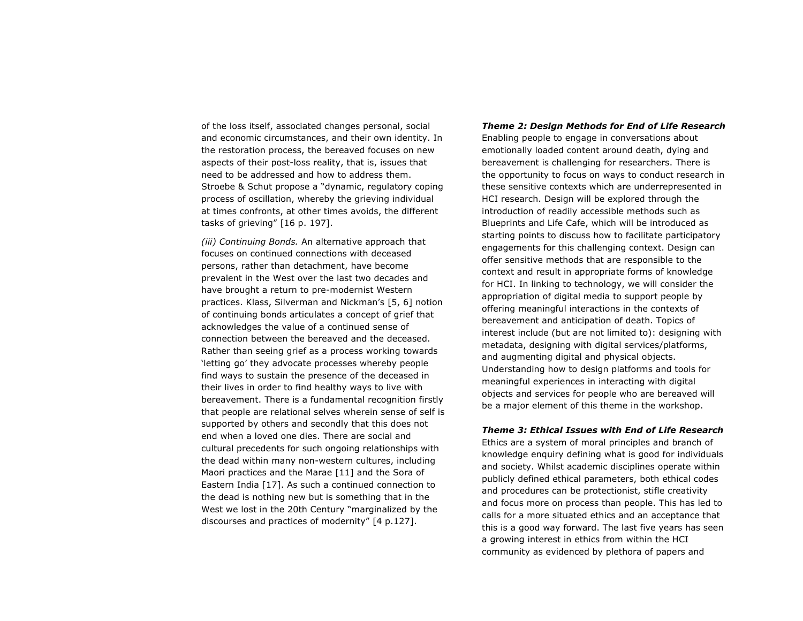of the loss itself, associated changes personal, social and economic circumstances, and their own identity. In the restoration process, the bereaved focuses on new aspects of their post-loss reality, that is, issues that need to be addressed and how to address them. Stroebe & Schut propose a "dynamic, regulatory coping process of oscillation, whereby the grieving individual at times confronts, at other times avoids, the different tasks of grieving" [16 p. 197].

*(iii) Continuing Bonds.* An alternative approach that focuses on continued connections with deceased persons, rather than detachment, have become prevalent in the West over the last two decades and have brought a return to pre-modernist Western practices. Klass, Silverman and Nickman's [5, 6] notion of continuing bonds articulates a concept of grief that acknowledges the value of a continued sense of connection between the bereaved and the deceased. Rather than seeing grief as a process working towards 'letting go' they advocate processes whereby people find ways to sustain the presence of the deceased in their lives in order to find healthy ways to live with bereavement. There is a fundamental recognition firstly that people are relational selves wherein sense of self is supported by others and secondly that this does not end when a loved one dies. There are social and cultural precedents for such ongoing relationships with the dead within many non-western cultures, including Maori practices and the Marae [11] and the Sora of Eastern India [17]. As such a continued connection to the dead is nothing new but is something that in the West we lost in the 20th Century "marginalized by the discourses and practices of modernity" [4 p.127].

#### *Theme 2: Design Methods for End of Life Research*

Enabling people to engage in conversations about emotionally loaded content around death, dying and bereavement is challenging for researchers. There is the opportunity to focus on ways to conduct research in these sensitive contexts which are underrepresented in HCI research. Design will be explored through the introduction of readily accessible methods such as Blueprints and Life Cafe, which will be introduced as starting points to discuss how to facilitate participatory engagements for this challenging context. Design can offer sensitive methods that are responsible to the context and result in appropriate forms of knowledge for HCI. In linking to technology, we will consider the appropriation of digital media to support people by offering meaningful interactions in the contexts of bereavement and anticipation of death. Topics of interest include (but are not limited to): designing with metadata, designing with digital services/platforms, and augmenting digital and physical objects. Understanding how to design platforms and tools for meaningful experiences in interacting with digital objects and services for people who are bereaved will be a major element of this theme in the workshop.

#### *Theme 3: Ethical Issues with End of Life Research*

Ethics are a system of moral principles and branch of knowledge enquiry defining what is good for individuals and society. Whilst academic disciplines operate within publicly defined ethical parameters, both ethical codes and procedures can be protectionist, stifle creativity and focus more on process than people. This has led to calls for a more situated ethics and an acceptance that this is a good way forward. The last five years has seen a growing interest in ethics from within the HCI community as evidenced by plethora of papers and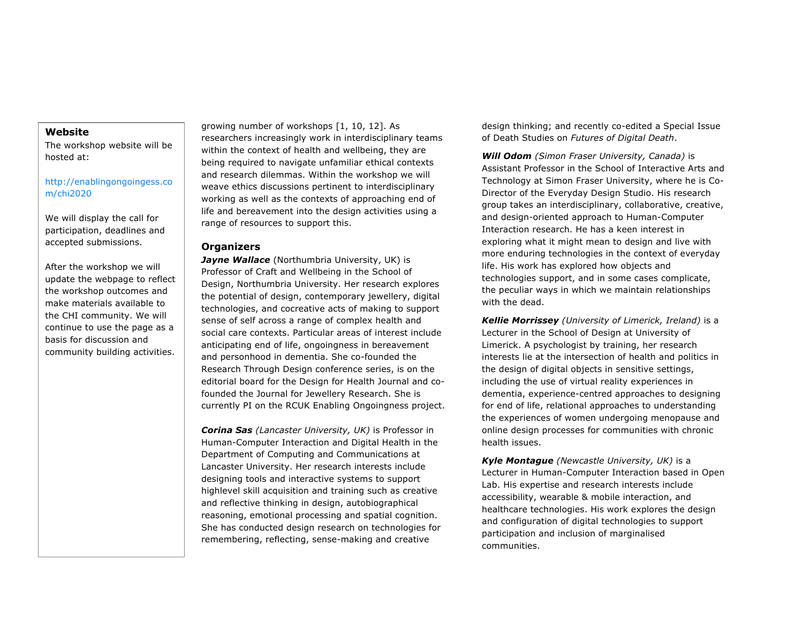# **Website**

The workshop website will be hosted at:

http://enablingongoingess.co m/chi2020

We will display the call for participation, deadlines and accepted submissions.

After the workshop we will update the webpage to reflect the workshop outcomes and make materials available to the CHI community. We will continue to use the page as a basis for discussion and community building activities.

growing number of workshops [1, 10, 12]. As researchers increasingly work in interdisciplinary teams within the context of health and wellbeing, they are being required to navigate unfamiliar ethical contexts and research dilemmas. Within the workshop we will weave ethics discussions pertinent to interdisciplinary working as well as the contexts of approaching end of life and bereavement into the design activities using a range of resources to support this.

# **Organizers**

**Jayne Wallace** (Northumbria University, UK) is Professor of Craft and Wellbeing in the School of Design, Northumbria University. Her research explores the potential of design, contemporary jewellery, digital technologies, and cocreative acts of making to support sense of self across a range of complex health and social care contexts. Particular areas of interest include anticipating end of life, ongoingness in bereavement and personhood in dementia. She co-founded the Research Through Design conference series, is on the editorial board for the Design for Health Journal and cofounded the Journal for Jewellery Research. She is currently PI on the RCUK Enabling Ongoingness project.

*Corina Sas (Lancaster University, UK)* is Professor in Human-Computer Interaction and Digital Health in the Department of Computing and Communications at Lancaster University. Her research interests include designing tools and interactive systems to support highlevel skill acquisition and training such as creative and reflective thinking in design, autobiographical reasoning, emotional processing and spatial cognition. She has conducted design research on technologies for remembering, reflecting, sense-making and creative

design thinking; and recently co-edited a Special Issue of Death Studies on *Futures of Digital Death*.

*Will Odom (Simon Fraser University, Canada)* is Assistant Professor in the School of Interactive Arts and Technology at Simon Fraser University, where he is Co-Director of the Everyday Design Studio. His research group takes an interdisciplinary, collaborative, creative, and design-oriented approach to Human-Computer Interaction research. He has a keen interest in exploring what it might mean to design and live with more enduring technologies in the context of everyday life. His work has explored how objects and technologies support, and in some cases complicate, the peculiar ways in which we maintain relationships with the dead.

*Kellie Morrissey (University of Limerick, Ireland)* is a Lecturer in the School of Design at University of Limerick. A psychologist by training, her research interests lie at the intersection of health and politics in the design of digital objects in sensitive settings, including the use of virtual reality experiences in dementia, experience-centred approaches to designing for end of life, relational approaches to understanding the experiences of women undergoing menopause and online design processes for communities with chronic health issues.

*Kyle Montague (Newcastle University, UK)* is a Lecturer in Human-Computer Interaction based in Open Lab. His expertise and research interests include accessibility, wearable & mobile interaction, and healthcare technologies. His work explores the design and configuration of digital technologies to support participation and inclusion of marginalised communities.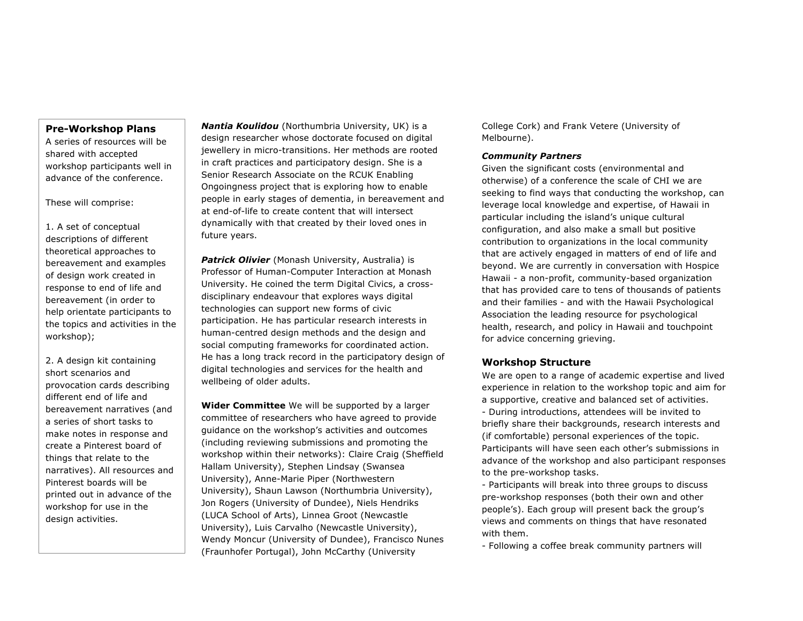## **Pre-Workshop Plans**

A series of resources will be shared with accepted workshop participants well in advance of the conference.

These will comprise:

1. A set of conceptual descriptions of different theoretical approaches to bereavement and examples of design work created in response to end of life and bereavement (in order to help orientate participants to the topics and activities in the workshop);

2. A design kit containing short scenarios and provocation cards describing different end of life and bereavement narratives (and a series of short tasks to make notes in response and create a Pinterest board of things that relate to the narratives). All resources and Pinterest boards will be printed out in advance of the workshop for use in the design activities.

*Nantia Koulidou* (Northumbria University, UK) is a design researcher whose doctorate focused on digital jewellery in micro-transitions. Her methods are rooted in craft practices and participatory design. She is a Senior Research Associate on the RCUK Enabling Ongoingness project that is exploring how to enable people in early stages of dementia, in bereavement and at end-of-life to create content that will intersect dynamically with that created by their loved ones in future years.

**Patrick Olivier** (Monash University, Australia) is Professor of Human-Computer Interaction at Monash University. He coined the term Digital Civics, a crossdisciplinary endeavour that explores ways digital technologies can support new forms of civic participation. He has particular research interests in human-centred design methods and the design and social computing frameworks for coordinated action. He has a long track record in the participatory design of digital technologies and services for the health and wellbeing of older adults.

**Wider Committee** We will be supported by a larger committee of researchers who have agreed to provide guidance on the workshop's activities and outcomes (including reviewing submissions and promoting the workshop within their networks): Claire Craig (Sheffield Hallam University), Stephen Lindsay (Swansea University), Anne-Marie Piper (Northwestern University), Shaun Lawson (Northumbria University), Jon Rogers (University of Dundee), Niels Hendriks (LUCA School of Arts), Linnea Groot (Newcastle University), Luis Carvalho (Newcastle University), Wendy Moncur (University of Dundee), Francisco Nunes (Fraunhofer Portugal), John McCarthy (University

College Cork) and Frank Vetere (University of Melbourne).

## *Community Partners*

Given the significant costs (environmental and otherwise) of a conference the scale of CHI we are seeking to find ways that conducting the workshop, can leverage local knowledge and expertise, of Hawaii in particular including the island's unique cultural configuration, and also make a small but positive contribution to organizations in the local community that are actively engaged in matters of end of life and beyond. We are currently in conversation with Hospice Hawaii - a non-profit, community-based organization that has provided care to tens of thousands of patients and their families - and with the Hawaii Psychological Association the leading resource for psychological health, research, and policy in Hawaii and touchpoint for advice concerning grieving.

# **Workshop Structure**

We are open to a range of academic expertise and lived experience in relation to the workshop topic and aim for a supportive, creative and balanced set of activities. - During introductions, attendees will be invited to briefly share their backgrounds, research interests and (if comfortable) personal experiences of the topic. Participants will have seen each other's submissions in advance of the workshop and also participant responses to the pre-workshop tasks.

- Participants will break into three groups to discuss pre-workshop responses (both their own and other people's). Each group will present back the group's views and comments on things that have resonated with them.

- Following a coffee break community partners will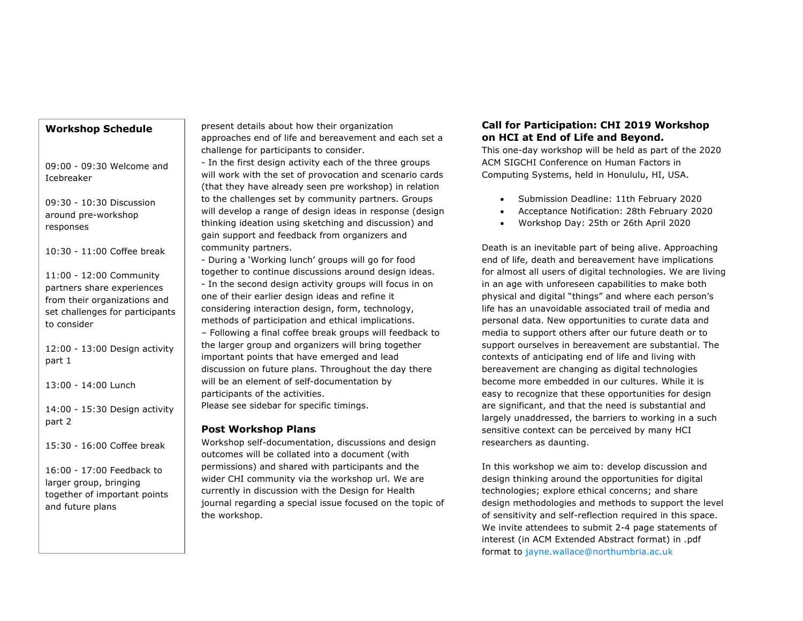# **Workshop Schedule**

09:00 - 09:30 Welcome and Icebreaker

09:30 - 10:30 Discussion around pre-workshop responses

10:30 - 11:00 Coffee break

11:00 - 12:00 Community partners share experiences from their organizations and set challenges for participants to consider

12:00 - 13:00 Design activity part 1

13:00 - 14:00 Lunch

14:00 - 15:30 Design activity part 2

15:30 - 16:00 Coffee break

16:00 - 17:00 Feedback to larger group, bringing together of important points and future plans

present details about how their organization approaches end of life and bereavement and each set a challenge for participants to consider.

- In the first design activity each of the three groups will work with the set of provocation and scenario cards (that they have already seen pre workshop) in relation to the challenges set by community partners. Groups will develop a range of design ideas in response (design thinking ideation using sketching and discussion) and gain support and feedback from organizers and community partners.

- During a 'Working lunch' groups will go for food together to continue discussions around design ideas. - In the second design activity groups will focus in on one of their earlier design ideas and refine it considering interaction design, form, technology, methods of participation and ethical implications. – Following a final coffee break groups will feedback to the larger group and organizers will bring together important points that have emerged and lead discussion on future plans. Throughout the day there will be an element of self-documentation by participants of the activities.

Please see sidebar for specific timings.

# **Post Workshop Plans**

Workshop self-documentation, discussions and design outcomes will be collated into a document (with permissions) and shared with participants and the wider CHI community via the workshop url. We are currently in discussion with the Design for Health journal regarding a special issue focused on the topic of the workshop.

# **Call for Participation: CHI 2019 Workshop on HCI at End of Life and Beyond.**

This one-day workshop will be held as part of the 2020 ACM SIGCHI Conference on Human Factors in Computing Systems, held in Honululu, HI, USA.

- Submission Deadline: 11th February 2020
- Acceptance Notification: 28th February 2020
- Workshop Day: 25th or 26th April 2020

Death is an inevitable part of being alive. Approaching end of life, death and bereavement have implications for almost all users of digital technologies. We are living in an age with unforeseen capabilities to make both physical and digital "things" and where each person's life has an unavoidable associated trail of media and personal data. New opportunities to curate data and media to support others after our future death or to support ourselves in bereavement are substantial. The contexts of anticipating end of life and living with bereavement are changing as digital technologies become more embedded in our cultures. While it is easy to recognize that these opportunities for design are significant, and that the need is substantial and largely unaddressed, the barriers to working in a such sensitive context can be perceived by many HCI researchers as daunting.

In this workshop we aim to: develop discussion and design thinking around the opportunities for digital technologies; explore ethical concerns; and share design methodologies and methods to support the level of sensitivity and self-reflection required in this space. We invite attendees to submit 2-4 page statements of interest (in ACM Extended Abstract format) in .pdf format to jayne.wallace@northumbria.ac.uk